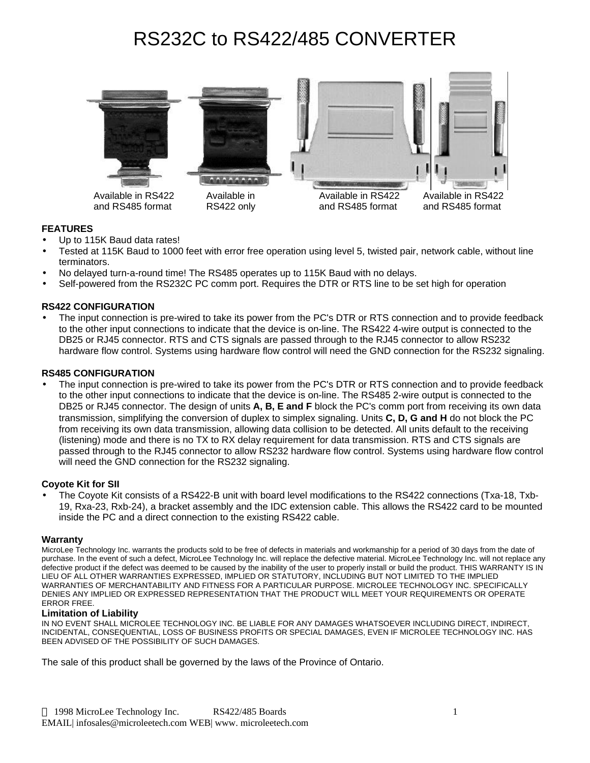# RS232C to RS422/485 CONVERTER



## **FEATURES**

- Up to 115K Baud data rates!
- Tested at 115K Baud to 1000 feet with error free operation using level 5, twisted pair, network cable, without line terminators.
- No delayed turn-a-round time! The RS485 operates up to 115K Baud with no delays.
- Self-powered from the RS232C PC comm port. Requires the DTR or RTS line to be set high for operation

### **RS422 CONFIGURATION**

• The input connection is pre-wired to take its power from the PC's DTR or RTS connection and to provide feedback to the other input connections to indicate that the device is on-line. The RS422 4-wire output is connected to the DB25 or RJ45 connector. RTS and CTS signals are passed through to the RJ45 connector to allow RS232 hardware flow control. Systems using hardware flow control will need the GND connection for the RS232 signaling.

#### **RS485 CONFIGURATION**

• The input connection is pre-wired to take its power from the PC's DTR or RTS connection and to provide feedback to the other input connections to indicate that the device is on-line. The RS485 2-wire output is connected to the DB25 or RJ45 connector. The design of units **A, B, E and F** block the PC's comm port from receiving its own data transmission, simplifying the conversion of duplex to simplex signaling. Units **C, D, G and H** do not block the PC from receiving its own data transmission, allowing data collision to be detected. All units default to the receiving (listening) mode and there is no TX to RX delay requirement for data transmission. RTS and CTS signals are passed through to the RJ45 connector to allow RS232 hardware flow control. Systems using hardware flow control will need the GND connection for the RS232 signaling.

#### **Coyote Kit for SII**

• The Coyote Kit consists of a RS422-B unit with board level modifications to the RS422 connections (Txa-18, Txb-19, Rxa-23, Rxb-24), a bracket assembly and the IDC extension cable. This allows the RS422 card to be mounted inside the PC and a direct connection to the existing RS422 cable.

#### **Warranty**

MicroLee Technology Inc. warrants the products sold to be free of defects in materials and workmanship for a period of 30 days from the date of purchase. In the event of such a defect, MicroLee Technology Inc. will replace the defective material. MicroLee Technology Inc. will not replace any defective product if the defect was deemed to be caused by the inability of the user to properly install or build the product. THIS WARRANTY IS IN LIEU OF ALL OTHER WARRANTIES EXPRESSED, IMPLIED OR STATUTORY, INCLUDING BUT NOT LIMITED TO THE IMPLIED WARRANTIES OF MERCHANTABILITY AND FITNESS FOR A PARTICULAR PURPOSE. MICROLEE TECHNOLOGY INC. SPECIFICALLY DENIES ANY IMPLIED OR EXPRESSED REPRESENTATION THAT THE PRODUCT WILL MEET YOUR REQUIREMENTS OR OPERATE ERROR FREE.

#### **Limitation of Liability**

IN NO EVENT SHALL MICROLEE TECHNOLOGY INC. BE LIABLE FOR ANY DAMAGES WHATSOEVER INCLUDING DIRECT, INDIRECT, INCIDENTAL, CONSEQUENTIAL, LOSS OF BUSINESS PROFITS OR SPECIAL DAMAGES, EVEN IF MICROLEE TECHNOLOGY INC. HAS BEEN ADVISED OF THE POSSIBILITY OF SUCH DAMAGES.

The sale of this product shall be governed by the laws of the Province of Ontario.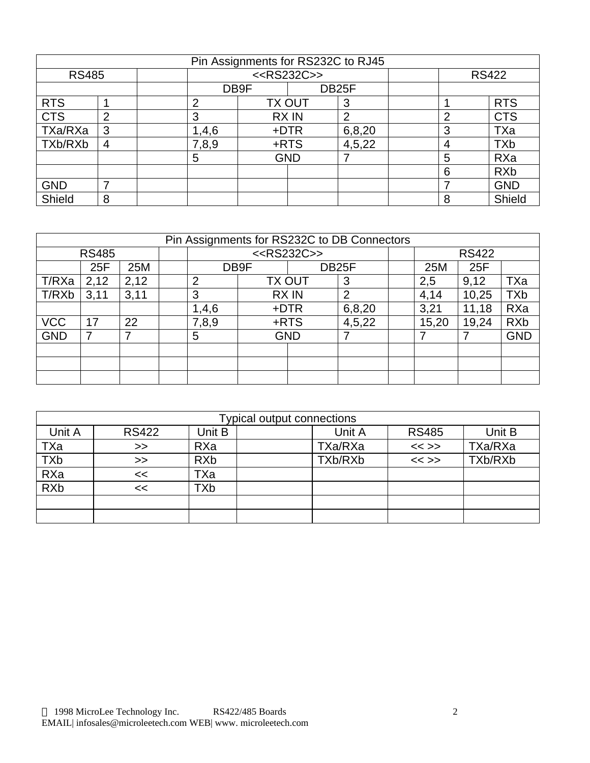| Pin Assignments for RS232C to RJ45 |                |                         |       |               |                    |                |              |                |            |
|------------------------------------|----------------|-------------------------|-------|---------------|--------------------|----------------|--------------|----------------|------------|
| <b>RS485</b>                       |                | < <rs232c>&gt;</rs232c> |       |               |                    |                | <b>RS422</b> |                |            |
|                                    |                |                         | DB9F  |               | DB <sub>25</sub> F |                |              |                |            |
| <b>RTS</b>                         |                |                         | 2     | <b>TX OUT</b> |                    | 3              |              |                | <b>RTS</b> |
| <b>CTS</b>                         | $\overline{2}$ |                         | 3     | <b>RXIN</b>   |                    | $\overline{2}$ |              | $\overline{2}$ | <b>CTS</b> |
| TXa/RXa                            | 3              |                         | 1,4,6 | +DTR          |                    | 6,8,20         |              | 3              | TXa        |
| TXb/RXb                            | $\overline{4}$ |                         | 7,8,9 | +RTS          |                    | 4,5,22         |              | 4              | <b>TXb</b> |
|                                    |                |                         | 5     |               | <b>GND</b>         |                |              | 5              | RXa        |
|                                    |                |                         |       |               |                    |                |              | 6              | <b>RXb</b> |
| <b>GND</b>                         | ⇁              |                         |       |               |                    |                |              |                | <b>GND</b> |
| Shield                             | 8              |                         |       |               |                    |                |              | 8              | Shield     |

| Pin Assignments for RS232C to DB Connectors |      |      |  |                            |               |            |                |              |       |       |            |
|---------------------------------------------|------|------|--|----------------------------|---------------|------------|----------------|--------------|-------|-------|------------|
| <b>RS485</b>                                |      |      |  | < <rs232c>&gt;</rs232c>    |               |            |                | <b>RS422</b> |       |       |            |
|                                             | 25F  | 25M  |  | DB <sub>25</sub> F<br>DB9F |               |            | 25M            | 25F          |       |       |            |
| T/RXa                                       | 2,12 | 2,12 |  | $\overline{2}$             | <b>TX OUT</b> |            | 3              |              | 2,5   | 9,12  | TXa        |
| T/RXb                                       | 3,11 | 3,11 |  | 3                          | <b>RXIN</b>   |            | $\overline{2}$ |              | 4,14  | 10,25 | <b>TXb</b> |
|                                             |      |      |  | 1,4,6                      | +DTR          |            | 6,8,20         |              | 3,21  | 11,18 | RXa        |
| <b>VCC</b>                                  | 17   | 22   |  | 7,8,9                      | +RTS          |            | 4,5,22         |              | 15,20 | 19,24 | <b>RXb</b> |
| <b>GND</b>                                  |      |      |  | 5                          |               | <b>GND</b> |                |              |       |       | <b>GND</b> |
|                                             |      |      |  |                            |               |            |                |              |       |       |            |
|                                             |      |      |  |                            |               |            |                |              |       |       |            |
|                                             |      |      |  |                            |               |            |                |              |       |       |            |

| <b>Typical output connections</b> |              |            |  |         |              |         |  |
|-----------------------------------|--------------|------------|--|---------|--------------|---------|--|
| Unit A                            | <b>RS422</b> | Unit B     |  | Unit A  | <b>RS485</b> | Unit B  |  |
| TXa                               | >>           | RXa        |  | TXa/RXa | $<<$ >>      | TXa/RXa |  |
| <b>TXb</b>                        | >>           | <b>RXb</b> |  | TXb/RXb | $<<$ >>      | TXb/RXb |  |
| RXa                               | <<           | TXa        |  |         |              |         |  |
| <b>RXb</b>                        | <<           | <b>TXb</b> |  |         |              |         |  |
|                                   |              |            |  |         |              |         |  |
|                                   |              |            |  |         |              |         |  |